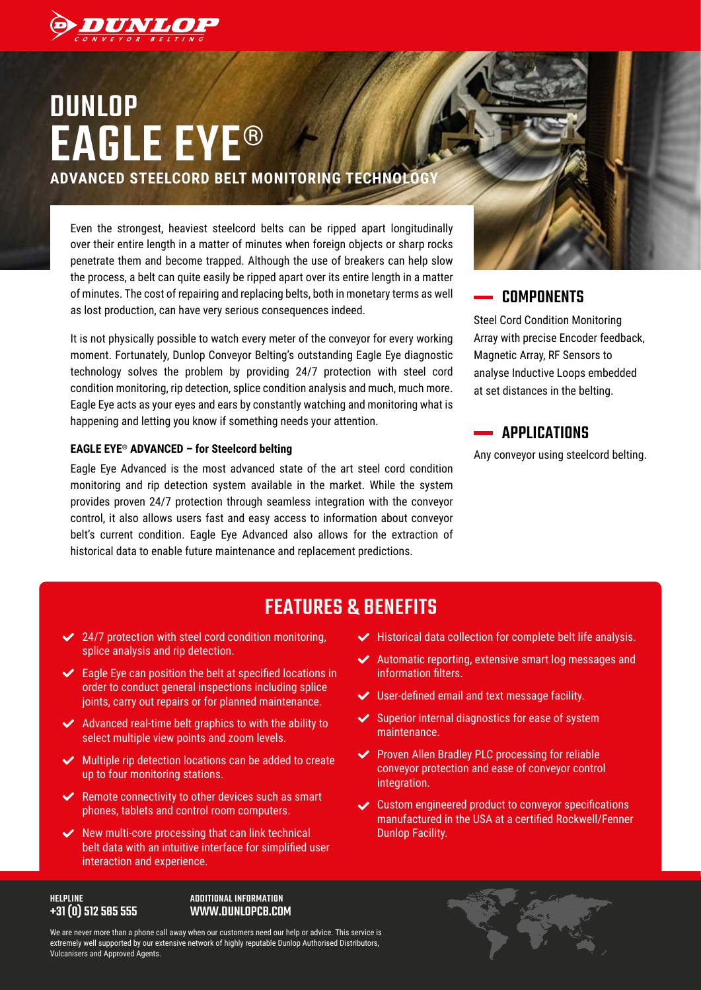

# **DUNLOP** EAGLE EYE® **ADVANCED STEELCORD BELT MONITORING TECHNOLOGY**

Even the strongest, heaviest steelcord belts can be ripped apart longitudinally over their entire length in a matter of minutes when foreign objects or sharp rocks penetrate them and become trapped. Although the use of breakers can help slow the process, a belt can quite easily be ripped apart over its entire length in a matter of minutes. The cost of repairing and replacing belts, both in monetary terms as well as lost production, can have very serious consequences indeed.

It is not physically possible to watch every meter of the conveyor for every working moment. Fortunately, Dunlop Conveyor Belting's outstanding Eagle Eye diagnostic technology solves the problem by providing 24/7 protection with steel cord condition monitoring, rip detection, splice condition analysis and much, much more. Eagle Eye acts as your eyes and ears by constantly watching and monitoring what is happening and letting you know if something needs your attention.

#### **EAGLE EYE® ADVANCED – for Steelcord belting**

Eagle Eye Advanced is the most advanced state of the art steel cord condition monitoring and rip detection system available in the market. While the system provides proven 24/7 protection through seamless integration with the conveyor control, it also allows users fast and easy access to information about conveyor belt's current condition. Eagle Eye Advanced also allows for the extraction of historical data to enable future maintenance and replacement predictions.



### **COMPONENTS**

Steel Cord Condition Monitoring Array with precise Encoder feedback, Magnetic Array, RF Sensors to analyse Inductive Loops embedded at set distances in the belting.

### **APPLICATIONS**

Any conveyor using steelcord belting.

# FEATURES & BENEFITS

- $\swarrow$  24/7 protection with steel cord condition monitoring, splice analysis and rip detection.
- $\blacktriangleright$  Eagle Eye can position the belt at specified locations in order to conduct general inspections including splice joints, carry out repairs or for planned maintenance.
- $\blacktriangleright$  Advanced real-time belt graphics to with the ability to select multiple view points and zoom levels.
- $\blacktriangleright$  Multiple rip detection locations can be added to create up to four monitoring stations.
- $\blacktriangleright$  Remote connectivity to other devices such as smart phones, tablets and control room computers.
- $\vee$  New multi-core processing that can link technical belt data with an intuitive interface for simplified user interaction and experience.
- $\blacktriangleright$  Historical data collection for complete belt life analysis.
- ◆ Automatic reporting, extensive smart log messages and information filters.
- User-defined email and text message facility.
- Superior internal diagnostics for ease of system maintenance.
- Proven Allen Bradley PLC processing for reliable conveyor protection and ease of conveyor control integration.
- Custom engineered product to conveyor specifications manufactured in the USA at a certified Rockwell/Fenner Dunlop Facility.

#### HELPLINE +31 (0) 512 585 555

#### ADDITIONAL INFORMATION WWW.DUNLOPCB.COM

We are never more than a phone call away when our customers need our help or advice. This service is extremely well supported by our extensive network of highly reputable Dunlop Authorised Distributors, Vulcanisers and Approved Agents.